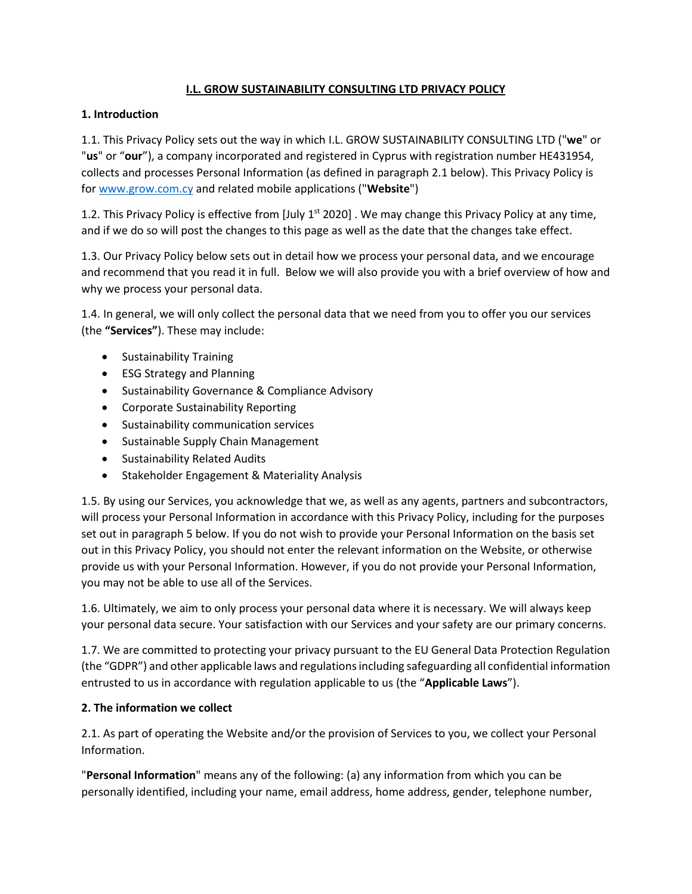## **I.L. GROW SUSTAINABILITY CONSULTING LTD PRIVACY POLICY**

## **1. Introduction**

1.1. This Privacy Policy sets out the way in which I.L. GROW SUSTAINABILITY CONSULTING LTD ("**we**" or "**us**" or "**our**"), a company incorporated and registered in Cyprus with registration number HE431954, collects and processes Personal Information (as defined in paragraph 2.1 below). This Privacy Policy is fo[r www.grow.com.cy](http://www.grow.com.cy/) and related mobile applications ("**Website**")

1.2. This Privacy Policy is effective from  $\lceil \text{July 1}^{st} \rceil 2020 \rceil$ . We may change this Privacy Policy at any time, and if we do so will post the changes to this page as well as the date that the changes take effect.

1.3. Our Privacy Policy below sets out in detail how we process your personal data, and we encourage and recommend that you read it in full. Below we will also provide you with a brief overview of how and why we process your personal data.

1.4. In general, we will only collect the personal data that we need from you to offer you our services (the **"Services"**). These may include:

- Sustainability Training
- ESG Strategy and Planning
- Sustainability Governance & Compliance Advisory
- Corporate Sustainability Reporting
- Sustainability communication services
- Sustainable Supply Chain Management
- Sustainability Related Audits
- Stakeholder Engagement & Materiality Analysis

1.5. By using our Services, you acknowledge that we, as well as any agents, partners and subcontractors, will process your Personal Information in accordance with this Privacy Policy, including for the purposes set out in paragraph 5 below. If you do not wish to provide your Personal Information on the basis set out in this Privacy Policy, you should not enter the relevant information on the Website, or otherwise provide us with your Personal Information. However, if you do not provide your Personal Information, you may not be able to use all of the Services.

1.6. Ultimately, we aim to only process your personal data where it is necessary. We will always keep your personal data secure. Your satisfaction with our Services and your safety are our primary concerns.

1.7. We are committed to protecting your privacy pursuant to the EU General Data Protection Regulation (the "GDPR") and other applicable laws and regulations including safeguarding all confidential information entrusted to us in accordance with regulation applicable to us (the "**Applicable Laws**").

## **2. The information we collect**

2.1. As part of operating the Website and/or the provision of Services to you, we collect your Personal Information.

"**Personal Information**" means any of the following: (a) any information from which you can be personally identified, including your name, email address, home address, gender, telephone number,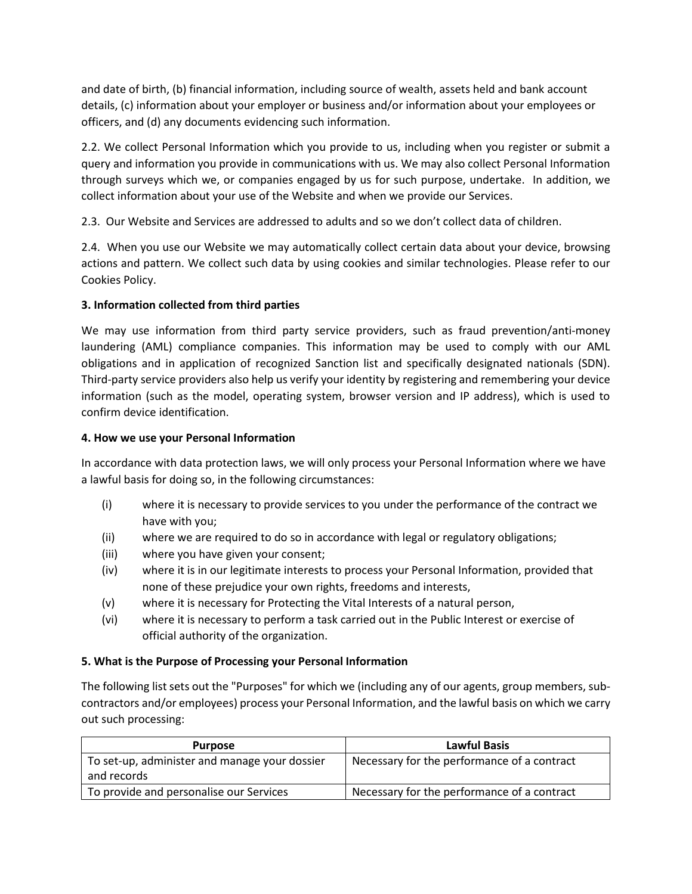and date of birth, (b) financial information, including source of wealth, assets held and bank account details, (c) information about your employer or business and/or information about your employees or officers, and (d) any documents evidencing such information.

2.2. We collect Personal Information which you provide to us, including when you register or submit a query and information you provide in communications with us. We may also collect Personal Information through surveys which we, or companies engaged by us for such purpose, undertake. In addition, we collect information about your use of the Website and when we provide our Services.

2.3. Our Website and Services are addressed to adults and so we don't collect data of children.

2.4. When you use our Website we may automatically collect certain data about your device, browsing actions and pattern. We collect such data by using cookies and similar technologies. Please refer to our Cookies Policy.

# **3. Information collected from third parties**

We may use information from third party service providers, such as fraud prevention/anti-money laundering (AML) compliance companies. This information may be used to comply with our AML obligations and in application of recognized Sanction list and specifically designated nationals (SDN). Third-party service providers also help us verify your identity by registering and remembering your device information (such as the model, operating system, browser version and IP address), which is used to confirm device identification.

## **4. How we use your Personal Information**

In accordance with data protection laws, we will only process your Personal Information where we have a lawful basis for doing so, in the following circumstances:

- (i) where it is necessary to provide services to you under the performance of the contract we have with you;
- (ii) where we are required to do so in accordance with legal or regulatory obligations;
- (iii) where you have given your consent;
- (iv) where it is in our legitimate interests to process your Personal Information, provided that none of these prejudice your own rights, freedoms and interests,
- (v) where it is necessary for Protecting the Vital Interests of a natural person,
- (vi) where it is necessary to perform a task carried out in the Public Interest or exercise of official authority of the organization.

# **5. What is the Purpose of Processing your Personal Information**

The following list sets out the "Purposes" for which we (including any of our agents, group members, subcontractors and/or employees) process your Personal Information, and the lawful basis on which we carry out such processing:

| <b>Purpose</b>                                | <b>Lawful Basis</b>                         |  |
|-----------------------------------------------|---------------------------------------------|--|
| To set-up, administer and manage your dossier | Necessary for the performance of a contract |  |
| and records                                   |                                             |  |
| To provide and personalise our Services       | Necessary for the performance of a contract |  |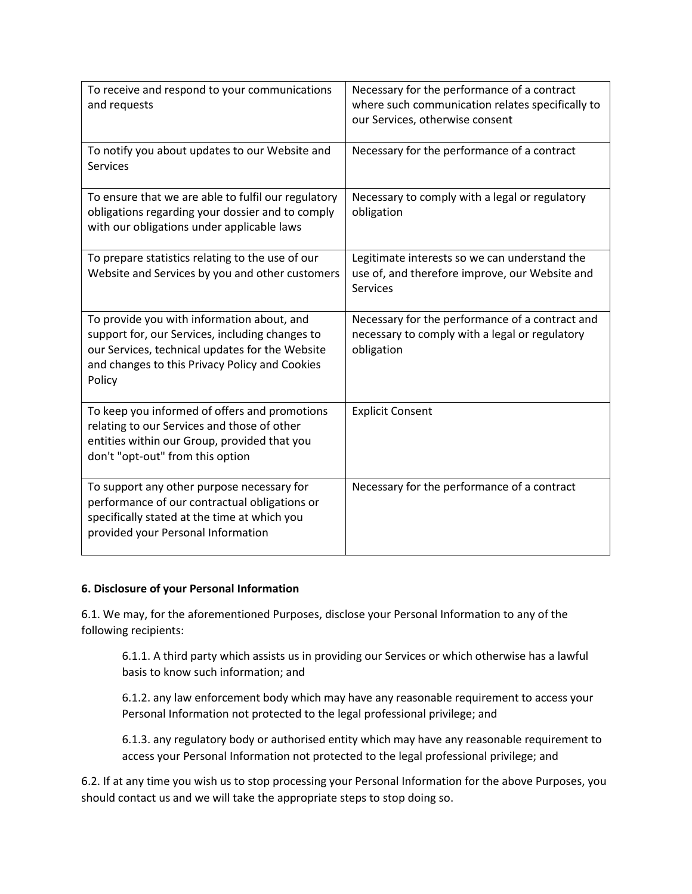| To receive and respond to your communications<br>and requests                                                                                                                                                | Necessary for the performance of a contract<br>where such communication relates specifically to<br>our Services, otherwise consent |  |
|--------------------------------------------------------------------------------------------------------------------------------------------------------------------------------------------------------------|------------------------------------------------------------------------------------------------------------------------------------|--|
| To notify you about updates to our Website and<br><b>Services</b>                                                                                                                                            | Necessary for the performance of a contract                                                                                        |  |
| To ensure that we are able to fulfil our regulatory<br>obligations regarding your dossier and to comply<br>with our obligations under applicable laws                                                        | Necessary to comply with a legal or regulatory<br>obligation                                                                       |  |
| To prepare statistics relating to the use of our<br>Website and Services by you and other customers                                                                                                          | Legitimate interests so we can understand the<br>use of, and therefore improve, our Website and<br>Services                        |  |
| To provide you with information about, and<br>support for, our Services, including changes to<br>our Services, technical updates for the Website<br>and changes to this Privacy Policy and Cookies<br>Policy | Necessary for the performance of a contract and<br>necessary to comply with a legal or regulatory<br>obligation                    |  |
| To keep you informed of offers and promotions<br>relating to our Services and those of other<br>entities within our Group, provided that you<br>don't "opt-out" from this option                             | <b>Explicit Consent</b>                                                                                                            |  |
| To support any other purpose necessary for<br>performance of our contractual obligations or<br>specifically stated at the time at which you<br>provided your Personal Information                            | Necessary for the performance of a contract                                                                                        |  |

## **6. Disclosure of your Personal Information**

6.1. We may, for the aforementioned Purposes, disclose your Personal Information to any of the following recipients:

6.1.1. A third party which assists us in providing our Services or which otherwise has a lawful basis to know such information; and

6.1.2. any law enforcement body which may have any reasonable requirement to access your Personal Information not protected to the legal professional privilege; and

6.1.3. any regulatory body or authorised entity which may have any reasonable requirement to access your Personal Information not protected to the legal professional privilege; and

6.2. If at any time you wish us to stop processing your Personal Information for the above Purposes, you should contact us and we will take the appropriate steps to stop doing so.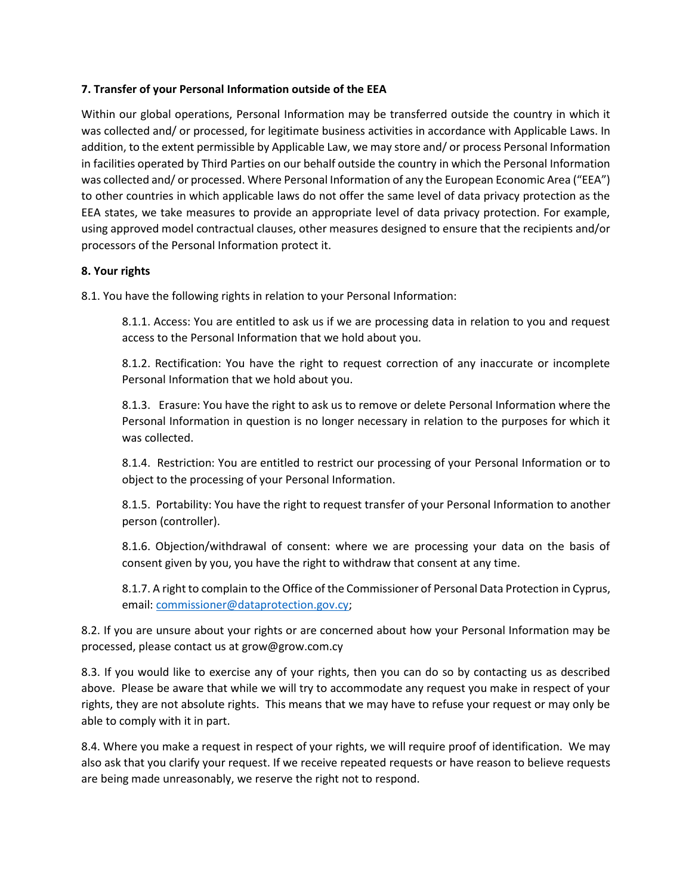## **7. Transfer of your Personal Information outside of the EEA**

Within our global operations, Personal Information may be transferred outside the country in which it was collected and/ or processed, for legitimate business activities in accordance with Applicable Laws. In addition, to the extent permissible by Applicable Law, we may store and/ or process Personal Information in facilities operated by Third Parties on our behalf outside the country in which the Personal Information was collected and/ or processed. Where Personal Information of any the European Economic Area ("EEA") to other countries in which applicable laws do not offer the same level of data privacy protection as the EEA states, we take measures to provide an appropriate level of data privacy protection. For example, using approved model contractual clauses, other measures designed to ensure that the recipients and/or processors of the Personal Information protect it.

## **8. Your rights**

8.1. You have the following rights in relation to your Personal Information:

8.1.1. Access: You are entitled to ask us if we are processing data in relation to you and request access to the Personal Information that we hold about you.

8.1.2. Rectification: You have the right to request correction of any inaccurate or incomplete Personal Information that we hold about you.

8.1.3. Erasure: You have the right to ask us to remove or delete Personal Information where the Personal Information in question is no longer necessary in relation to the purposes for which it was collected.

8.1.4. Restriction: You are entitled to restrict our processing of your Personal Information or to object to the processing of your Personal Information.

8.1.5. Portability: You have the right to request transfer of your Personal Information to another person (controller).

8.1.6. Objection/withdrawal of consent: where we are processing your data on the basis of consent given by you, you have the right to withdraw that consent at any time.

8.1.7. A right to complain to the Office of the Commissioner of Personal Data Protection in Cyprus, email: [commissioner@dataprotection.gov.cy;](mailto:commissioner@dataprotection.gov.cy)

8.2. If you are unsure about your rights or are concerned about how your Personal Information may be processed, please contact us at grow@grow.com.cy

8.3. If you would like to exercise any of your rights, then you can do so by contacting us as described above. Please be aware that while we will try to accommodate any request you make in respect of your rights, they are not absolute rights. This means that we may have to refuse your request or may only be able to comply with it in part.

8.4. Where you make a request in respect of your rights, we will require proof of identification. We may also ask that you clarify your request. If we receive repeated requests or have reason to believe requests are being made unreasonably, we reserve the right not to respond.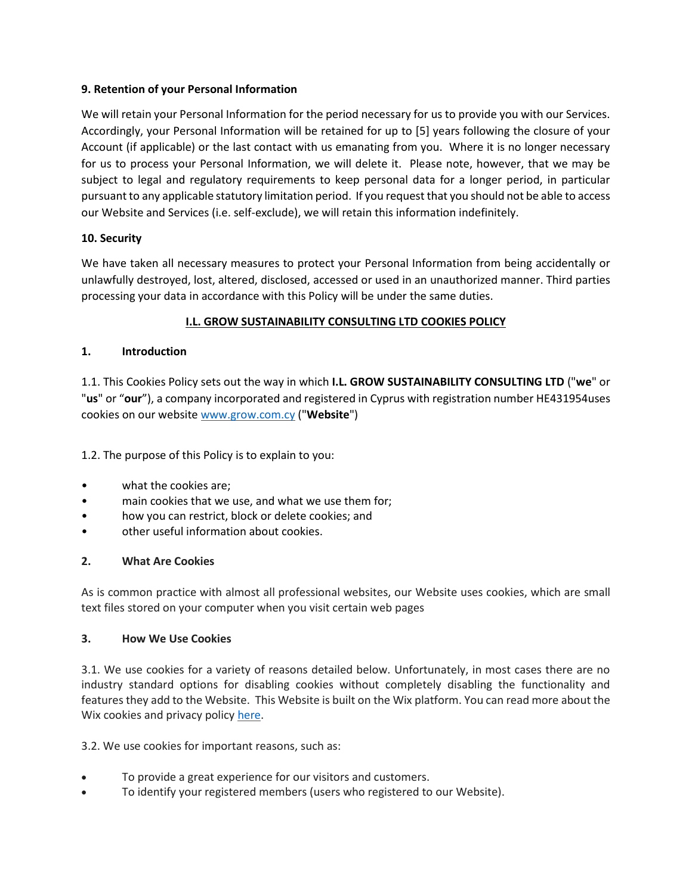## **9. Retention of your Personal Information**

We will retain your Personal Information for the period necessary for us to provide you with our Services. Accordingly, your Personal Information will be retained for up to [5] years following the closure of your Account (if applicable) or the last contact with us emanating from you. Where it is no longer necessary for us to process your Personal Information, we will delete it. Please note, however, that we may be subject to legal and regulatory requirements to keep personal data for a longer period, in particular pursuant to any applicable statutory limitation period. If you request that you should not be able to access our Website and Services (i.e. self-exclude), we will retain this information indefinitely.

## **10. Security**

We have taken all necessary measures to protect your Personal Information from being accidentally or unlawfully destroyed, lost, altered, disclosed, accessed or used in an unauthorized manner. Third parties processing your data in accordance with this Policy will be under the same duties.

## **I.L. GROW SUSTAINABILITY CONSULTING LTD COOKIES POLICY**

## **1. Introduction**

1.1. This Cookies Policy sets out the way in which **I.L. GROW SUSTAINABILITY CONSULTING LTD** ("**we**" or "**us**" or "**our**"), a company incorporated and registered in Cyprus with registration number HE431954uses cookies on our website [www.grow.com.cy](http://www.grow.com.cy/) ("**Website**")

1.2. The purpose of this Policy is to explain to you:

- what the cookies are;
- main cookies that we use, and what we use them for;
- how you can restrict, block or delete cookies; and
- other useful information about cookies.

## **2. What Are Cookies**

As is common practice with almost all professional websites, our Website uses cookies, which are small text files stored on your computer when you visit certain web pages

#### **3. How We Use Cookies**

3.1. We use cookies for a variety of reasons detailed below. Unfortunately, in most cases there are no industry standard options for disabling cookies without completely disabling the functionality and features they add to the Website. This Website is built on the Wix platform. You can read more about the Wix cookies and privacy policy [here.](https://www.wix.com/about/privacy)

3.2. We use cookies for important reasons, such as:

- To provide a great experience for our visitors and customers.
- To identify your registered members (users who registered to our Website).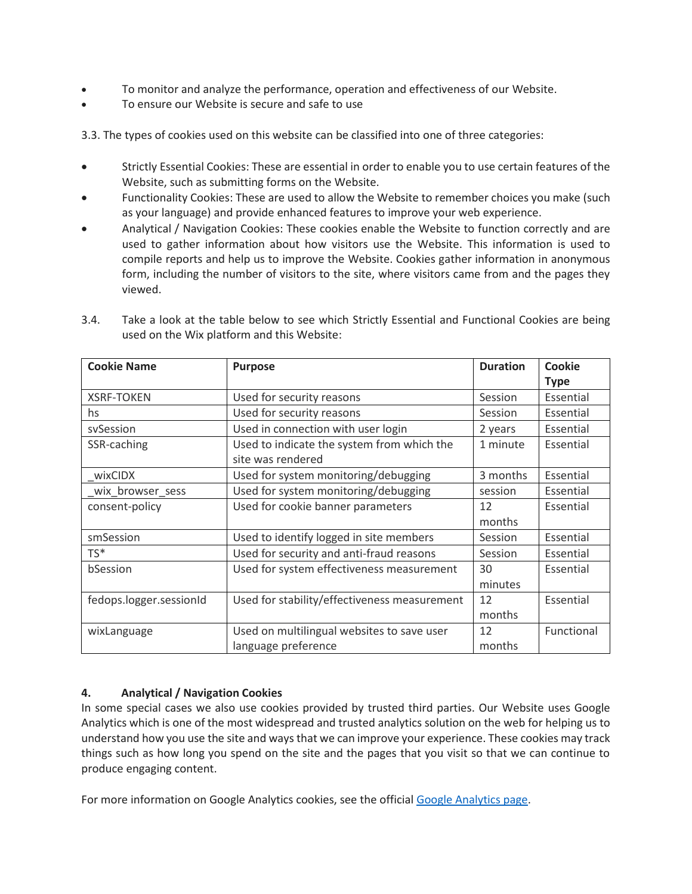- To monitor and analyze the performance, operation and effectiveness of our Website.
- To ensure our Website is secure and safe to use

3.3. The types of cookies used on this website can be classified into one of three categories:

- Strictly Essential Cookies: These are essential in order to enable you to use certain features of the Website, such as submitting forms on the Website.
- Functionality Cookies: These are used to allow the Website to remember choices you make (such as your language) and provide enhanced features to improve your web experience.
- Analytical / Navigation Cookies: These cookies enable the Website to function correctly and are used to gather information about how visitors use the Website. This information is used to compile reports and help us to improve the Website. Cookies gather information in anonymous form, including the number of visitors to the site, where visitors came from and the pages they viewed.

| <b>Cookie Name</b>      | <b>Purpose</b>                                                    | <b>Duration</b> | <b>Cookie</b><br><b>Type</b> |
|-------------------------|-------------------------------------------------------------------|-----------------|------------------------------|
| <b>XSRF-TOKEN</b>       | Used for security reasons                                         | Session         | Essential                    |
| hs                      | Used for security reasons                                         | Session         | Essential                    |
| sySession               | Used in connection with user login                                | 2 years         | Essential                    |
| SSR-caching             | Used to indicate the system from which the<br>site was rendered   | 1 minute        | Essential                    |
| wixCIDX                 | Used for system monitoring/debugging                              | 3 months        | Essential                    |
| wix browser sess        | Used for system monitoring/debugging                              | session         | Essential                    |
| consent-policy          | Used for cookie banner parameters                                 | 12<br>months    | Essential                    |
| smSession               | Used to identify logged in site members                           | Session         | Essential                    |
| TS*                     | Used for security and anti-fraud reasons                          | Session         | Essential                    |
| bSession                | Used for system effectiveness measurement                         | 30<br>minutes   | Essential                    |
| fedops.logger.sessionId | Used for stability/effectiveness measurement                      | 12<br>months    | Essential                    |
| wixLanguage             | Used on multilingual websites to save user<br>language preference | 12<br>months    | Functional                   |

3.4. Take a look at the table below to see which Strictly Essential and Functional Cookies are being used on the Wix platform and this Website:

## **4. Analytical / Navigation Cookies**

In some special cases we also use cookies provided by trusted third parties. Our Website uses Google Analytics which is one of the most widespread and trusted analytics solution on the web for helping us to understand how you use the site and ways that we can improve your experience. These cookies may track things such as how long you spend on the site and the pages that you visit so that we can continue to produce engaging content.

For more information on Google Analytics cookies, see the officia[l Google Analytics page.](https://analytics.google.com/)